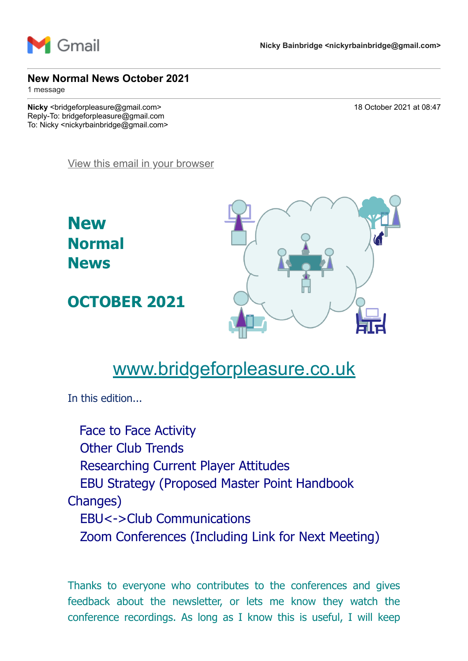

#### **New Normal News October 2021**

1 message

**Nicky** <bridgeforpleasure@gmail.com> 18 October 2021 at 08:47 Reply-To: bridgeforpleasure@gmail.com To: Nicky <nickyrbainbridge@gmail.com>

[View this email in your browser](https://mailchi.mp/3e2b5fd1a0da/new-normal-news-october-2021?e=7736085cbd)

**New Normal News**

**OCTOBER 2021**



# [www.bridgeforpleasure.co.uk](https://rugbyvillagebridge.us16.list-manage.com/track/click?u=5ca90c1560213b9616359b892&id=dc6e2dedb4&e=7736085cbd)

In this edition...

Face to Face Activity Other Club Trends Researching Current Player Attitudes EBU Strategy (Proposed Master Point Handbook Changes) EBU<->Club Communications Zoom Conferences (Including Link for Next Meeting)

Thanks to everyone who contributes to the conferences and gives feedback about the newsletter, or lets me know they watch the conference recordings. As long as I know this is useful, I will keep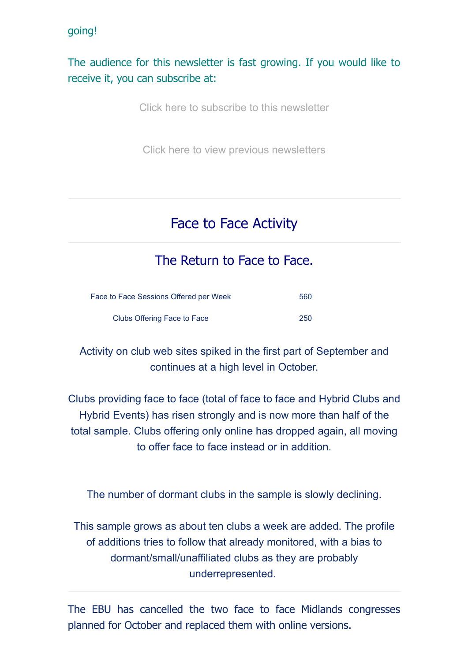#### going!

### The audience for this newsletter is fast growing. If you would like to receive it, you can subscribe at:

[Click here to subscribe to this newsletter](https://rugbyvillagebridge.us16.list-manage.com/track/click?u=5ca90c1560213b9616359b892&id=f6afd78e63&e=7736085cbd)

[Click here to view previous newsletters](https://rugbyvillagebridge.us16.list-manage.com/track/click?u=5ca90c1560213b9616359b892&id=432f1b4087&e=7736085cbd)

# Face to Face Activity

## The Return to Face to Face.

| Face to Face Sessions Offered per Week | 560 |
|----------------------------------------|-----|
| Clubs Offering Face to Face            | 250 |

Activity on club web sites spiked in the first part of September and continues at a high level in October.

Clubs providing face to face (total of face to face and Hybrid Clubs and Hybrid Events) has risen strongly and is now more than half of the total sample. Clubs offering only online has dropped again, all moving to offer face to face instead or in addition.

The number of dormant clubs in the sample is slowly declining.

This sample grows as about ten clubs a week are added. The profile of additions tries to follow that already monitored, with a bias to dormant/small/unaffiliated clubs as they are probably underrepresented.

The EBU has cancelled the two face to face Midlands congresses planned for October and replaced them with online versions.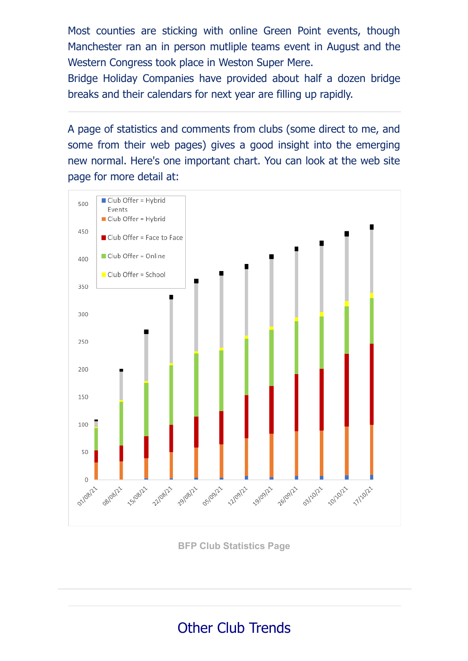Most counties are sticking with online Green Point events, though Manchester ran an in person mutliple teams event in August and the Western Congress took place in Weston Super Mere.

Bridge Holiday Companies have provided about half a dozen bridge breaks and their calendars for next year are filling up rapidly.

A page of statistics and comments from clubs (some direct to me, and some from their web pages) gives a good insight into the emerging new normal. Here's one important chart. You can look at the web site page for more detail at:



**[BFP Club Statistics Page](https://rugbyvillagebridge.us16.list-manage.com/track/click?u=5ca90c1560213b9616359b892&id=3abf5444da&e=7736085cbd)**

# Other Club Trends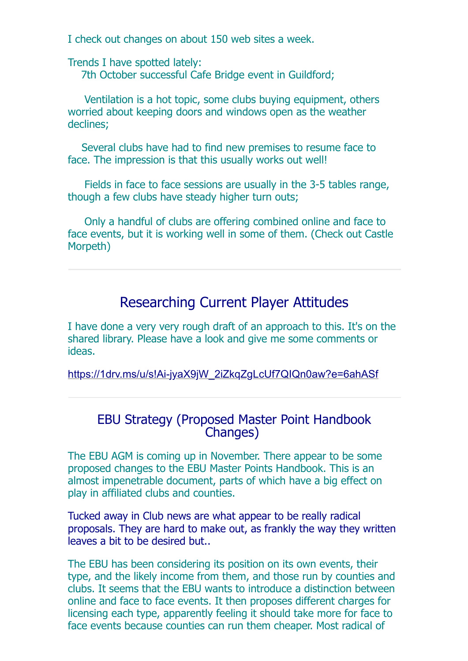I check out changes on about 150 web sites a week.

Trends I have spotted lately: 7th October successful Cafe Bridge event in Guildford;

Ventilation is a hot topic, some clubs buying equipment, others worried about keeping doors and windows open as the weather declines;

Several clubs have had to find new premises to resume face to face. The impression is that this usually works out well!

Fields in face to face sessions are usually in the 3-5 tables range, though a few clubs have steady higher turn outs;

Only a handful of clubs are offering combined online and face to face events, but it is working well in some of them. (Check out Castle Morpeth)

### Researching Current Player Attitudes

I have done a very very rough draft of an approach to this. It's on the shared library. Please have a look and give me some comments or ideas.

[https://1drv.ms/u/s!Ai-jyaX9jW\\_2iZkqZgLcUf7QIQn0aw?e=6ahASf](https://rugbyvillagebridge.us16.list-manage.com/track/click?u=5ca90c1560213b9616359b892&id=b7363602b0&e=7736085cbd)

### EBU Strategy (Proposed Master Point Handbook Changes)

The EBU AGM is coming up in November. There appear to be some proposed changes to the EBU Master Points Handbook. This is an almost impenetrable document, parts of which have a big effect on play in affiliated clubs and counties.

Tucked away in Club news are what appear to be really radical proposals. They are hard to make out, as frankly the way they written leaves a bit to be desired but..

The EBU has been considering its position on its own events, their type, and the likely income from them, and those run by counties and clubs. It seems that the EBU wants to introduce a distinction between online and face to face events. It then proposes different charges for licensing each type, apparently feeling it should take more for face to face events because counties can run them cheaper. Most radical of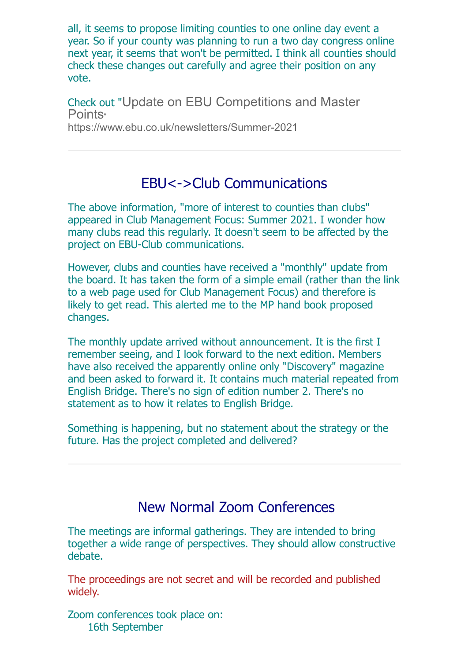all, it seems to propose limiting counties to one online day event a year. So if your county was planning to run a two day congress online next year, it seems that won't be permitted. I think all counties should check these changes out carefully and agree their position on any vote.

Check out "Update on EBU Competitions and Master Points" [https://www.ebu.co.uk/newsletters/Summer-2021](https://rugbyvillagebridge.us16.list-manage.com/track/click?u=5ca90c1560213b9616359b892&id=7144119cb7&e=7736085cbd)

# EBU<->Club Communications

The above information, "more of interest to counties than clubs" appeared in Club Management Focus: Summer 2021. I wonder how many clubs read this regularly. It doesn't seem to be affected by the project on EBU-Club communications.

However, clubs and counties have received a "monthly" update from the board. It has taken the form of a simple email (rather than the link to a web page used for Club Management Focus) and therefore is likely to get read. This alerted me to the MP hand book proposed changes.

The monthly update arrived without announcement. It is the first I remember seeing, and I look forward to the next edition. Members have also received the apparently online only "Discovery" magazine and been asked to forward it. It contains much material repeated from English Bridge. There's no sign of edition number 2. There's no statement as to how it relates to English Bridge.

Something is happening, but no statement about the strategy or the future. Has the project completed and delivered?

# New Normal Zoom Conferences

The meetings are informal gatherings. They are intended to bring together a wide range of perspectives. They should allow constructive debate.

The proceedings are not secret and will be recorded and published widely.

Zoom conferences took place on: 16th September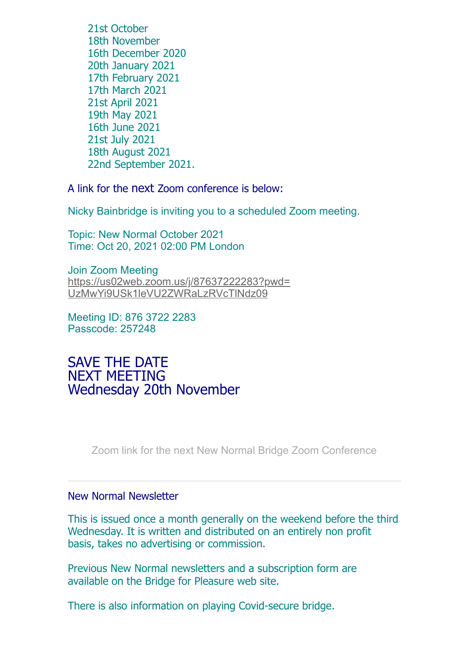21st October 18th November 16th December 2020 20th January 2021 17th February 2021 17th March 2021 21st April 2021 19th May 2021 16th June 2021 21st July 2021 18th August 2021 22nd September 2021.

A link for the next Zoom conference is below:

Nicky Bainbridge is inviting you to a scheduled Zoom meeting.

Topic: New Normal October 2021 Time: Oct 20, 2021 02:00 PM London

Join Zoom Meeting [https://us02web.zoom.us/j/87637222283?pwd=](https://rugbyvillagebridge.us16.list-manage.com/track/click?u=5ca90c1560213b9616359b892&id=4034f97f86&e=7736085cbd) UzMwYi9USk1leVU2ZWRaLzRVcTlNdz09

Meeting ID: 876 3722 2283 Passcode: 257248

SAVE THE DATE NEXT MEETING Wednesday 20th November

[Zoom link for the next New Normal Bridge Zoom Conference](https://rugbyvillagebridge.us16.list-manage.com/track/click?u=5ca90c1560213b9616359b892&id=70cc8374e5&e=7736085cbd)

#### New Normal Newsletter

This is issued once a month generally on the weekend before the third Wednesday. It is written and distributed on an entirely non profit basis, takes no advertising or commission.

Previous New Normal newsletters and a subscription form are available on the Bridge for Pleasure web site.

There is also information on playing Covid-secure bridge.